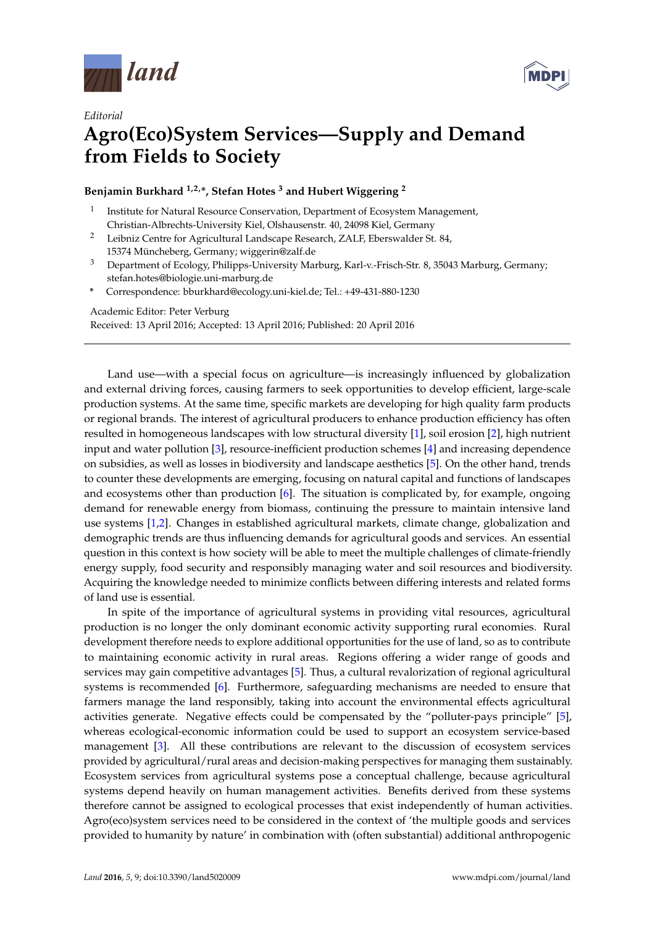



## *Editorial* **Agro(Eco)System Services—Supply and Demand from Fields to Society**

**Benjamin Burkhard 1,2,\*, Stefan Hotes <sup>3</sup> and Hubert Wiggering <sup>2</sup>**

- 1 Institute for Natural Resource Conservation, Department of Ecosystem Management, Christian-Albrechts-University Kiel, Olshausenstr. 40, 24098 Kiel, Germany
- <sup>2</sup> Leibniz Centre for Agricultural Landscape Research, ZALF, Eberswalder St. 84, 15374 Müncheberg, Germany; wiggerin@zalf.de
- <sup>3</sup> Department of Ecology, Philipps-University Marburg, Karl-v.-Frisch-Str. 8, 35043 Marburg, Germany; stefan.hotes@biologie.uni-marburg.de
- **\*** Correspondence: bburkhard@ecology.uni-kiel.de; Tel.: +49-431-880-1230

Academic Editor: Peter Verburg

Received: 13 April 2016; Accepted: 13 April 2016; Published: 20 April 2016

Land use—with a special focus on agriculture—is increasingly influenced by globalization and external driving forces, causing farmers to seek opportunities to develop efficient, large-scale production systems. At the same time, specific markets are developing for high quality farm products or regional brands. The interest of agricultural producers to enhance production efficiency has often resulted in homogeneous landscapes with low structural diversity [\[1\]](#page-2-0), soil erosion [\[2\]](#page-2-1), high nutrient input and water pollution [\[3\]](#page-2-2), resource-inefficient production schemes [\[4\]](#page-3-0) and increasing dependence on subsidies, as well as losses in biodiversity and landscape aesthetics [\[5\]](#page-3-1). On the other hand, trends to counter these developments are emerging, focusing on natural capital and functions of landscapes and ecosystems other than production  $[6]$ . The situation is complicated by, for example, ongoing demand for renewable energy from biomass, continuing the pressure to maintain intensive land use systems [\[1,](#page-2-0)[2\]](#page-2-1). Changes in established agricultural markets, climate change, globalization and demographic trends are thus influencing demands for agricultural goods and services. An essential question in this context is how society will be able to meet the multiple challenges of climate-friendly energy supply, food security and responsibly managing water and soil resources and biodiversity. Acquiring the knowledge needed to minimize conflicts between differing interests and related forms of land use is essential.

In spite of the importance of agricultural systems in providing vital resources, agricultural production is no longer the only dominant economic activity supporting rural economies. Rural development therefore needs to explore additional opportunities for the use of land, so as to contribute to maintaining economic activity in rural areas. Regions offering a wider range of goods and services may gain competitive advantages [\[5\]](#page-3-1). Thus, a cultural revalorization of regional agricultural systems is recommended [\[6\]](#page-3-2). Furthermore, safeguarding mechanisms are needed to ensure that farmers manage the land responsibly, taking into account the environmental effects agricultural activities generate. Negative effects could be compensated by the "polluter-pays principle" [\[5\]](#page-3-1), whereas ecological-economic information could be used to support an ecosystem service-based management [\[3\]](#page-2-2). All these contributions are relevant to the discussion of ecosystem services provided by agricultural/rural areas and decision-making perspectives for managing them sustainably. Ecosystem services from agricultural systems pose a conceptual challenge, because agricultural systems depend heavily on human management activities. Benefits derived from these systems therefore cannot be assigned to ecological processes that exist independently of human activities. Agro(eco)system services need to be considered in the context of 'the multiple goods and services provided to humanity by nature' in combination with (often substantial) additional anthropogenic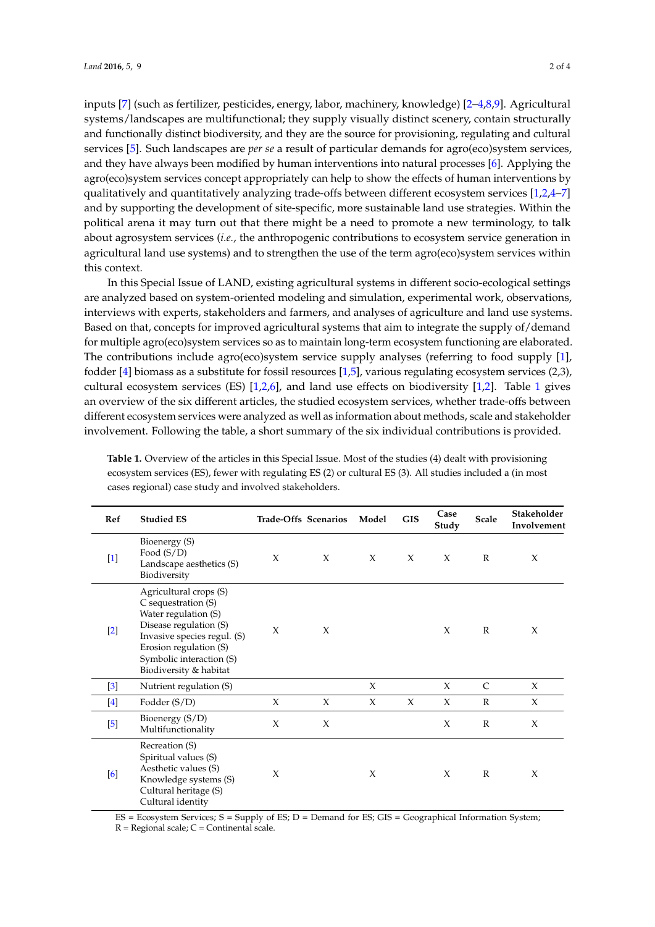inputs [\[7\]](#page-3-3) (such as fertilizer, pesticides, energy, labor, machinery, knowledge) [\[2](#page-2-1)[–4](#page-3-0)[,8](#page-3-4)[,9\]](#page-3-5). Agricultural systems/landscapes are multifunctional; they supply visually distinct scenery, contain structurally and functionally distinct biodiversity, and they are the source for provisioning, regulating and cultural services [\[5\]](#page-3-1). Such landscapes are *per se* a result of particular demands for agro(eco)system services, and they have always been modified by human interventions into natural processes [\[6\]](#page-3-2). Applying the agro(eco)system services concept appropriately can help to show the effects of human interventions by qualitatively and quantitatively analyzing trade-offs between different ecosystem services [\[1](#page-2-0)[,2](#page-2-1)[,4](#page-3-0)[–7\]](#page-3-3) and by supporting the development of site-specific, more sustainable land use strategies. Within the political arena it may turn out that there might be a need to promote a new terminology, to talk about agrosystem services (*i.e.*, the anthropogenic contributions to ecosystem service generation in agricultural land use systems) and to strengthen the use of the term agro(eco)system services within this context.

In this Special Issue of LAND, existing agricultural systems in different socio-ecological settings are analyzed based on system-oriented modeling and simulation, experimental work, observations, interviews with experts, stakeholders and farmers, and analyses of agriculture and land use systems. Based on that, concepts for improved agricultural systems that aim to integrate the supply of/demand for multiple agro(eco)system services so as to maintain long-term ecosystem functioning are elaborated. The contributions include agro(eco)system service supply analyses (referring to food supply [\[1\]](#page-2-0), fodder [\[4\]](#page-3-0) biomass as a substitute for fossil resources [\[1](#page-2-0)[,5\]](#page-3-1), various regulating ecosystem services (2,3), cultural ecosystem services (ES) [\[1](#page-2-0)[,2](#page-2-1)[,6\]](#page-3-2), and land use effects on biodiversity [\[1](#page-2-0)[,2\]](#page-2-1). Table [1](#page-1-0) gives an overview of the six different articles, the studied ecosystem services, whether trade-offs between different ecosystem services were analyzed as well as information about methods, scale and stakeholder involvement. Following the table, a short summary of the six individual contributions is provided.

| Ref               | <b>Studied ES</b>                                                                                                                                                                                              |        | Trade-Offs Scenarios | Model  | <b>GIS</b> | Case<br>Study | <b>Scale</b> | Stakeholder<br>Involvement |
|-------------------|----------------------------------------------------------------------------------------------------------------------------------------------------------------------------------------------------------------|--------|----------------------|--------|------------|---------------|--------------|----------------------------|
| $[1]$             | Bioenergy (S)<br>Food $(S/D)$<br>Landscape aesthetics (S)<br>Biodiversity                                                                                                                                      | X      | X                    | $\chi$ | $\chi$     | $\chi$        | $\mathbb{R}$ | X                          |
| $[2]$             | Agricultural crops (S)<br>C sequestration (S)<br>Water regulation (S)<br>Disease regulation (S)<br>Invasive species regul. (S)<br>Erosion regulation (S)<br>Symbolic interaction (S)<br>Biodiversity & habitat | $\chi$ | X                    |        |            | $\chi$        | $\mathbb{R}$ | X                          |
| $\lceil 3 \rceil$ | Nutrient regulation (S)                                                                                                                                                                                        |        |                      | $\chi$ |            | X             | C            | $\chi$                     |
| $[4]$             | Fodder $(S/D)$                                                                                                                                                                                                 | X      | $\chi$               | X      | $\chi$     | $\chi$        | $\mathbb{R}$ | $\chi$                     |
| $\left[5\right]$  | Bioenergy (S/D)<br>Multifunctionality                                                                                                                                                                          | X      | X                    |        |            | X             | $\mathbb{R}$ | $\chi$                     |
| [6]               | Recreation (S)<br>Spiritual values (S)<br>Aesthetic values (S)<br>Knowledge systems (S)<br>Cultural heritage (S)<br>Cultural identity                                                                          | X      |                      | X      |            | $\chi$        | $\mathbb{R}$ | $\chi$                     |

<span id="page-1-0"></span>**Table 1.** Overview of the articles in this Special Issue. Most of the studies (4) dealt with provisioning ecosystem services (ES), fewer with regulating ES (2) or cultural ES (3). All studies included a (in most cases regional) case study and involved stakeholders.

 $ES = Ecos$  Services;  $S = Supply$  of  $ES$ ;  $D =$  Demand for  $ES$ ;  $GIS = Geographical Information System$ ;

 $R =$  Regional scale;  $C =$  Continental scale.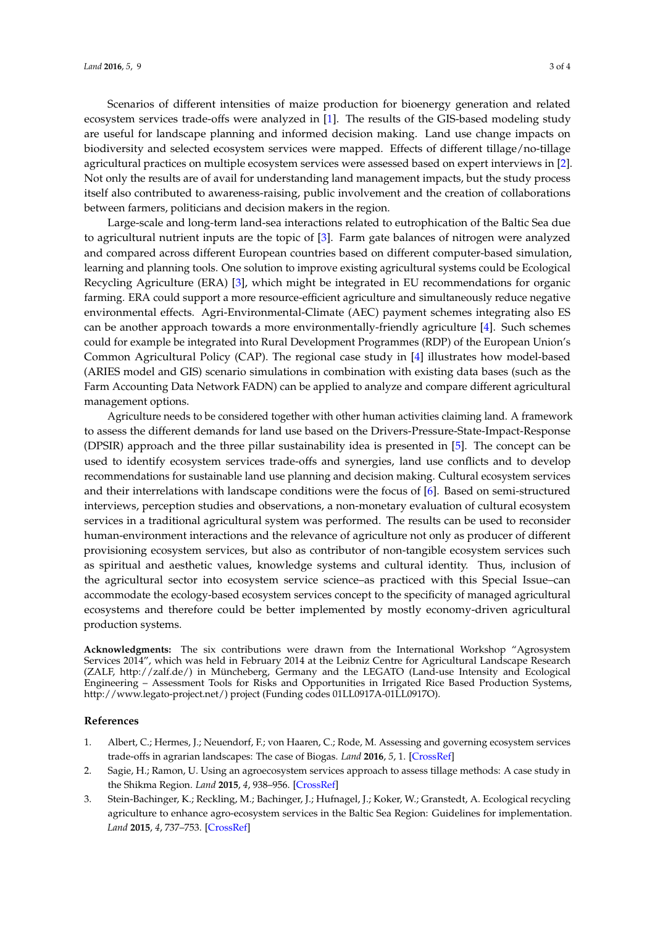Scenarios of different intensities of maize production for bioenergy generation and related ecosystem services trade-offs were analyzed in [\[1\]](#page-2-0). The results of the GIS-based modeling study are useful for landscape planning and informed decision making. Land use change impacts on biodiversity and selected ecosystem services were mapped. Effects of different tillage/no-tillage agricultural practices on multiple ecosystem services were assessed based on expert interviews in [\[2\]](#page-2-1). Not only the results are of avail for understanding land management impacts, but the study process itself also contributed to awareness-raising, public involvement and the creation of collaborations between farmers, politicians and decision makers in the region.

Large-scale and long-term land-sea interactions related to eutrophication of the Baltic Sea due to agricultural nutrient inputs are the topic of [\[3\]](#page-2-2). Farm gate balances of nitrogen were analyzed and compared across different European countries based on different computer-based simulation, learning and planning tools. One solution to improve existing agricultural systems could be Ecological Recycling Agriculture (ERA) [\[3\]](#page-2-2), which might be integrated in EU recommendations for organic farming. ERA could support a more resource-efficient agriculture and simultaneously reduce negative environmental effects. Agri-Environmental-Climate (AEC) payment schemes integrating also ES can be another approach towards a more environmentally-friendly agriculture [\[4\]](#page-3-0). Such schemes could for example be integrated into Rural Development Programmes (RDP) of the European Union's Common Agricultural Policy (CAP). The regional case study in [\[4\]](#page-3-0) illustrates how model-based (ARIES model and GIS) scenario simulations in combination with existing data bases (such as the Farm Accounting Data Network FADN) can be applied to analyze and compare different agricultural management options.

Agriculture needs to be considered together with other human activities claiming land. A framework to assess the different demands for land use based on the Drivers-Pressure-State-Impact-Response (DPSIR) approach and the three pillar sustainability idea is presented in [\[5\]](#page-3-1). The concept can be used to identify ecosystem services trade-offs and synergies, land use conflicts and to develop recommendations for sustainable land use planning and decision making. Cultural ecosystem services and their interrelations with landscape conditions were the focus of [\[6\]](#page-3-2). Based on semi-structured interviews, perception studies and observations, a non-monetary evaluation of cultural ecosystem services in a traditional agricultural system was performed. The results can be used to reconsider human-environment interactions and the relevance of agriculture not only as producer of different provisioning ecosystem services, but also as contributor of non-tangible ecosystem services such as spiritual and aesthetic values, knowledge systems and cultural identity. Thus, inclusion of the agricultural sector into ecosystem service science–as practiced with this Special Issue–can accommodate the ecology-based ecosystem services concept to the specificity of managed agricultural ecosystems and therefore could be better implemented by mostly economy-driven agricultural production systems.

**Acknowledgments:** The six contributions were drawn from the International Workshop "Agrosystem Services 2014", which was held in February 2014 at the Leibniz Centre for Agricultural Landscape Research (ZALF, http://zalf.de/) in Müncheberg, Germany and the LEGATO (Land-use Intensity and Ecological Engineering – Assessment Tools for Risks and Opportunities in Irrigated Rice Based Production Systems, http://www.legato-project.net/) project (Funding codes 01LL0917A-01LL0917O).

## **References**

- <span id="page-2-0"></span>1. Albert, C.; Hermes, J.; Neuendorf, F.; von Haaren, C.; Rode, M. Assessing and governing ecosystem services trade-offs in agrarian landscapes: The case of Biogas. *Land* **2016**, *5*, 1. [\[CrossRef\]](http://dx.doi.org/10.3390/land5010001)
- <span id="page-2-1"></span>2. Sagie, H.; Ramon, U. Using an agroecosystem services approach to assess tillage methods: A case study in the Shikma Region. *Land* **2015**, *4*, 938–956. [\[CrossRef\]](http://dx.doi.org/10.3390/land4040938)
- <span id="page-2-2"></span>3. Stein-Bachinger, K.; Reckling, M.; Bachinger, J.; Hufnagel, J.; Koker, W.; Granstedt, A. Ecological recycling agriculture to enhance agro-ecosystem services in the Baltic Sea Region: Guidelines for implementation. *Land* **2015**, *4*, 737–753. [\[CrossRef\]](http://dx.doi.org/10.3390/land4030737)